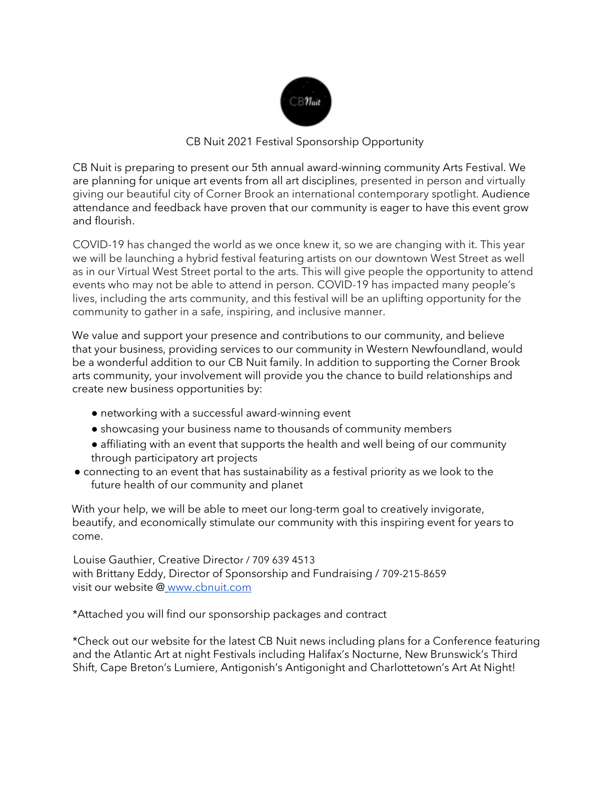

#### CB Nuit 2021 Festival Sponsorship Opportunity

CB Nuit is preparing to present our 5th annual award-winning community Arts Festival. We are planning for unique art events from all art disciplines, presented in person and virtually giving our beautiful city of Corner Brook an international contemporary spotlight. Audience attendance and feedback have proven that our community is eager to have this event grow and flourish.

COVID-19 has changed the world as we once knew it, so we are changing with it. This year we will be launching a hybrid festival featuring artists on our downtown West Street as well as in our Virtual West Street portal to the arts. This will give people the opportunity to attend events who may not be able to attend in person. COVID-19 has impacted many people's lives, including the arts community, and this festival will be an uplifting opportunity for the community to gather in a safe, inspiring, and inclusive manner.

We value and support your presence and contributions to our community, and believe that your business, providing services to our community in Western Newfoundland, would be a wonderful addition to our CB Nuit family. In addition to supporting the Corner Brook arts community, your involvement will provide you the chance to build relationships and create new business opportunities by:

- networking with a successful award-winning event
- showcasing your business name to thousands of community members
- affiliating with an event that supports the health and well being of our community through participatory art projects
- connecting to an event that has sustainability as a festival priority as we look to the future health of our community and planet

With your help, we will be able to meet our long-term goal to creatively invigorate, beautify, and economically stimulate our community with this inspiring event for years to come.

Louise Gauthier, Creative Director / 709 639 4513 with Brittany Eddy, Director of Sponsorship and Fundraising / 709-215-8659 visit our website @ www.cbnuit.com

\*Attached you will find our sponsorship packages and contract

\*Check out our website for the latest CB Nuit news including plans for a Conference featuring and the Atlantic Art at night Festivals including Halifax's Nocturne, New Brunswick's Third Shift, Cape Breton's Lumiere, Antigonish's Antigonight and Charlottetown's Art At Night!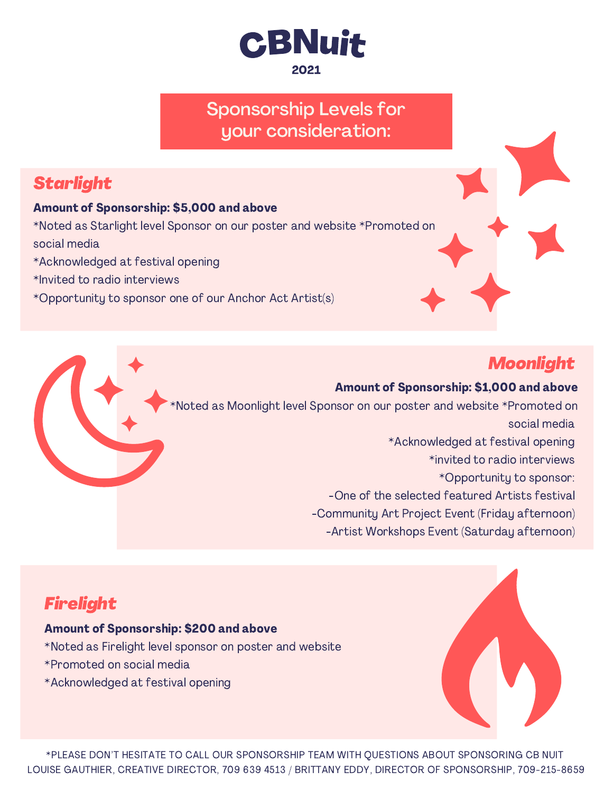

### Sponsorship Levels for your consideration:

# Starlight

#### Amount of Sponsorship: \$5,000 and above

\*Noted as Starlight level Sponsor on our poster and website \*Promoted on social media

- \*Acknowledged at festival opening
- \*Invited to radio interviews
- \*Opportunity to sponsor one of our Anchor Act Artist(s)

## Moonlight

#### Amount of Sponsorship: \$1,000 and above Noted as Moonlight level Sponsor on our poster and website \*Promoted on social media \*Acknowledged at festival opening \*invited to radio interviews \*Opportunity to sponsor: -One of the selected featured Artists festival -Community Art Project Event (Friday afternoon) -Artist Workshops Event (Saturday afternoon)

## Firelight

#### Amount of Sponsorship: \$200 and above

- \*Noted as Firelight level sponsor on poster and website
- \*Promoted on social media
- \*Acknowledged at festival opening

\*PLEASE DON'T HESITATE TO CALL OUR SPONSORSHIP TEAM WITH QUESTIONS ABOUT SPONSORING CB NUIT LOUISE GAUTHIER, CREATIVE DIRECTOR, 709 639 4513 / BRITTANY EDDY, DIRECTOR OF SPONSORSHIP, 709-215-8659